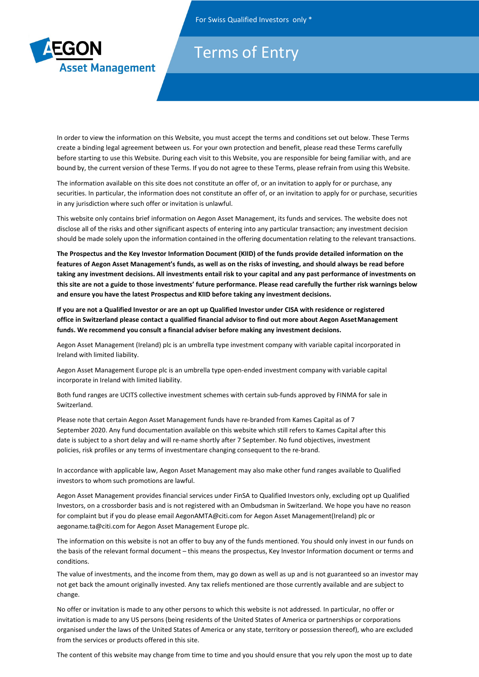

## Tarms of For Swiss Conluctuality Australian Conluctus Conluctus Conluctus Conluctus Conluctus Conluctus Conluctus Conlu

 **Terms of Entry**

In order to view the information on this Website, you must accept the terms and conditions set out below. These Terms create a binding legal agreement between us. For your own protection and benefit, please read these Terms carefully before starting to use this Website. During each visit to this Website, you are responsible for being familiar with, and are bound by, the current version of these Terms. If you do not agree to these Terms, please refrain from using this Website.

The information available on this site does not constitute an offer of, or an invitation to apply for or purchase, any securities. In particular, the information does not constitute an offer of, or an invitation to apply for or purchase, securities in any jurisdiction where such offer or invitation is unlawful.

This website only contains brief information on Aegon Asset Management, its funds and services. The website does not disclose all of the risks and other significant aspects of entering into any particular transaction; any investment decision should be made solely upon the information contained in the offering documentation relating to the relevant transactions.

**The Prospectus and the Key Investor Information Document (KIID) of the funds provide detailed information on the features of Aegon Asset Management's funds, as well as on the risks of investing, and should always be read before taking any investment decisions. All investments entail risk to your capital and any past performance of investments on this site are not a guide to those investments' future performance. Please read carefully the further risk warnings below and ensure you have the latest Prospectus and KIID before taking any investment decisions.**

**If you are not a Qualified Investor or are an opt up Qualified Investor under CISA with residence or registered office in Switzerland please contact a qualified financial advisor to find out more about Aegon Asset Management funds. We recommend you consult a financial adviser before making any investment decisions.**

Aegon Asset Management (Ireland) plc is an umbrella type investment company with variable capital incorporated in Ireland with limited liability.

Aegon Asset Management Europe plc is an umbrella type open-ended investment company with variable capital incorporate in Ireland with limited liability.

Both fund ranges are UCITS collective investment schemes with certain sub-funds approved by FINMA for sale in Switzerland.

Please note that certain Aegon Asset Management funds have re-branded from Kames Capital as of 7 September 2020. Any fund documentation available on this website which still refers to Kames Capital after this date is subject to a short delay and will re-name shortly after 7 September. No fund objectives, investment policies, risk profiles or any terms of investmentare changing consequent to the re-brand.

In accordance with applicable law, Aegon Asset Management may also make other fund ranges available to Qualified investors to whom such promotions are lawful.

Aegon Asset Management provides financial services under FinSA to Qualified Investors only, excluding opt up Qualified Investors, on a crossborder basis and is not registered with an Ombudsman in Switzerland. We hope you have no reason for complaint but if you do please emai[l AegonAMTA@citi.com f](mailto:AegonAMTA@citi.com)or Aegon Asset Management(Ireland) plc or [aegoname.ta@citi.com](mailto:aegoname.ta@citi.com) for Aegon Asset Management Europe plc.

The information on this website is not an offer to buy any of the funds mentioned. You should only invest in our funds on the basis of the relevant formal document – this means the prospectus, Key Investor Information document or terms and conditions.

The value of investments, and the income from them, may go down as well as up and is not guaranteed so an investor may not get back the amount originally invested. Any tax reliefs mentioned are those currently available and are subject to change.

No offer or invitation is made to any other persons to which this website is not addressed. In particular, no offer or invitation is made to any US persons (being residents of the United States of America or partnerships or corporations organised under the laws of the United States of America or any state, territory or possession thereof), who are excluded from the services or products offered in this site.

The content of this website may change from time to time and you should ensure that you rely upon the most up to date